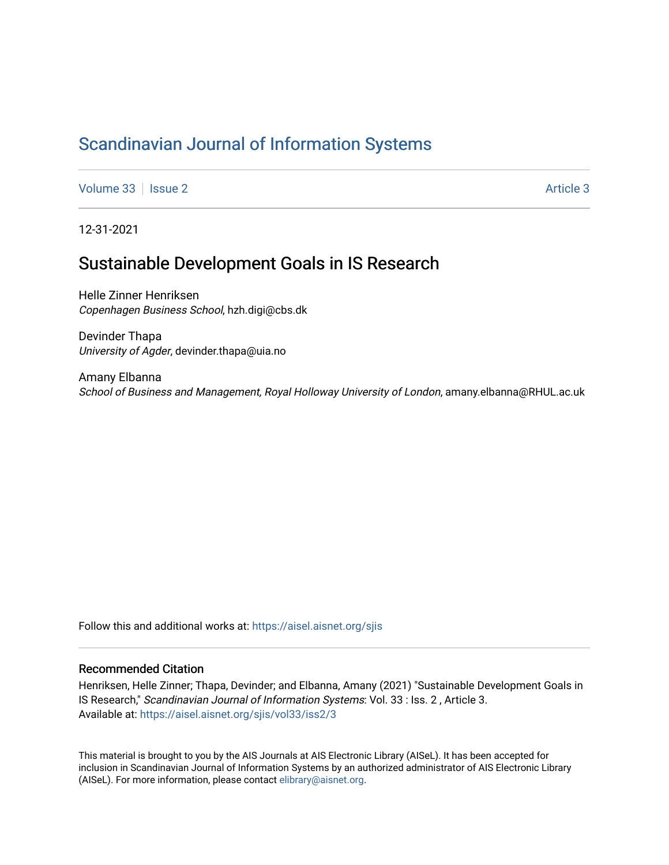## [Scandinavian Journal of Information Systems](https://aisel.aisnet.org/sjis)

[Volume 33](https://aisel.aisnet.org/sjis/vol33) | [Issue 2](https://aisel.aisnet.org/sjis/vol33/iss2) [Article 3](https://aisel.aisnet.org/sjis/vol33/iss2/3) Article 3

12-31-2021

## Sustainable Development Goals in IS Research

Helle Zinner Henriksen Copenhagen Business School, hzh.digi@cbs.dk

Devinder Thapa University of Agder, devinder.thapa@uia.no

Amany Elbanna School of Business and Management, Royal Holloway University of London, amany.elbanna@RHUL.ac.uk

Follow this and additional works at: [https://aisel.aisnet.org/sjis](https://aisel.aisnet.org/sjis?utm_source=aisel.aisnet.org%2Fsjis%2Fvol33%2Fiss2%2F3&utm_medium=PDF&utm_campaign=PDFCoverPages)

### Recommended Citation

Henriksen, Helle Zinner; Thapa, Devinder; and Elbanna, Amany (2021) "Sustainable Development Goals in IS Research," Scandinavian Journal of Information Systems: Vol. 33 : Iss. 2 , Article 3. Available at: [https://aisel.aisnet.org/sjis/vol33/iss2/3](https://aisel.aisnet.org/sjis/vol33/iss2/3?utm_source=aisel.aisnet.org%2Fsjis%2Fvol33%2Fiss2%2F3&utm_medium=PDF&utm_campaign=PDFCoverPages) 

This material is brought to you by the AIS Journals at AIS Electronic Library (AISeL). It has been accepted for inclusion in Scandinavian Journal of Information Systems by an authorized administrator of AIS Electronic Library (AISeL). For more information, please contact [elibrary@aisnet.org](mailto:elibrary@aisnet.org%3E).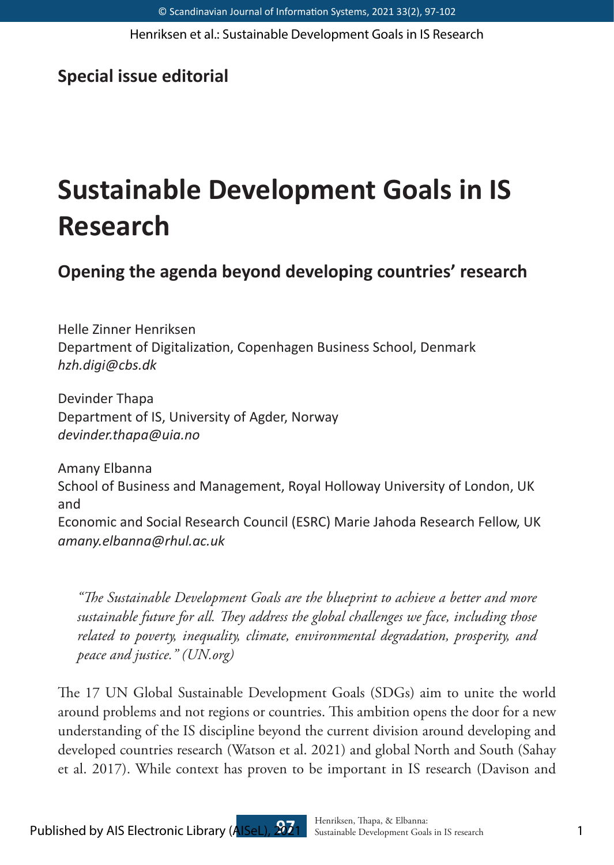Henriksen et al.: Sustainable Development Goals in IS Research

### **Special issue editorial**

# **Sustainable Development Goals in IS Research**

**Opening the agenda beyond developing countries' research**

Helle Zinner Henriksen Department of Digitalization, Copenhagen Business School, Denmark *hzh.digi@cbs.dk*

Devinder Thapa Department of IS, University of Agder, Norway *devinder.thapa@uia.no*

Amany Elbanna School of Business and Management, Royal Holloway University of London, UK and Economic and Social Research Council (ESRC) Marie Jahoda Research Fellow, UK *amany.elbanna@rhul.ac.uk*

*"The Sustainable Development Goals are the blueprint to achieve a better and more sustainable future for all. They address the global challenges we face, including those related to poverty, inequality, climate, environmental degradation, prosperity, and peace and justice." (UN.org)*

The 17 UN Global Sustainable Development Goals (SDGs) aim to unite the world around problems and not regions or countries. This ambition opens the door for a new understanding of the IS discipline beyond the current division around developing and developed countries research (Watson et al. 2021) and global North and South (Sahay et al. 2017). While context has proven to be important in IS research (Davison and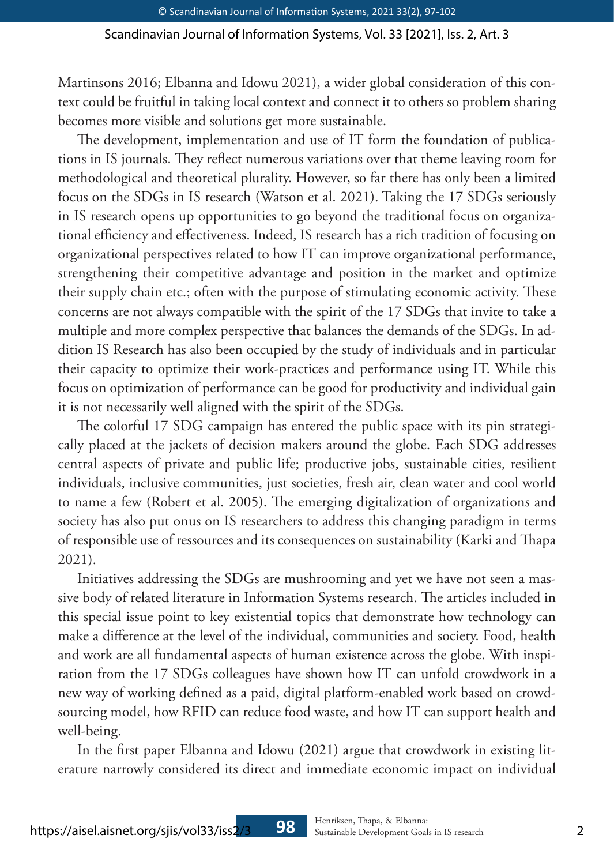### Scandinavian Journal of Information Systems, Vol. 33 [2021], Iss. 2, Art. 3

Martinsons 2016; Elbanna and Idowu 2021), a wider global consideration of this context could be fruitful in taking local context and connect it to others so problem sharing becomes more visible and solutions get more sustainable.

The development, implementation and use of IT form the foundation of publications in IS journals. They reflect numerous variations over that theme leaving room for methodological and theoretical plurality. However, so far there has only been a limited focus on the SDGs in IS research (Watson et al. 2021). Taking the 17 SDGs seriously in IS research opens up opportunities to go beyond the traditional focus on organizational efficiency and effectiveness. Indeed, IS research has a rich tradition of focusing on organizational perspectives related to how IT can improve organizational performance, strengthening their competitive advantage and position in the market and optimize their supply chain etc.; often with the purpose of stimulating economic activity. These concerns are not always compatible with the spirit of the 17 SDGs that invite to take a multiple and more complex perspective that balances the demands of the SDGs. In addition IS Research has also been occupied by the study of individuals and in particular their capacity to optimize their work-practices and performance using IT. While this focus on optimization of performance can be good for productivity and individual gain it is not necessarily well aligned with the spirit of the SDGs.

The colorful 17 SDG campaign has entered the public space with its pin strategically placed at the jackets of decision makers around the globe. Each SDG addresses central aspects of private and public life; productive jobs, sustainable cities, resilient individuals, inclusive communities, just societies, fresh air, clean water and cool world to name a few (Robert et al. 2005). The emerging digitalization of organizations and society has also put onus on IS researchers to address this changing paradigm in terms of responsible use of ressources and its consequences on sustainability (Karki and Thapa 2021).

Initiatives addressing the SDGs are mushrooming and yet we have not seen a massive body of related literature in Information Systems research. The articles included in this special issue point to key existential topics that demonstrate how technology can make a difference at the level of the individual, communities and society. Food, health and work are all fundamental aspects of human existence across the globe. With inspiration from the 17 SDGs colleagues have shown how IT can unfold crowdwork in a new way of working defined as a paid, digital platform-enabled work based on crowdsourcing model, how RFID can reduce food waste, and how IT can support health and well-being.

In the first paper Elbanna and Idowu (2021) argue that crowdwork in existing literature narrowly considered its direct and immediate economic impact on individual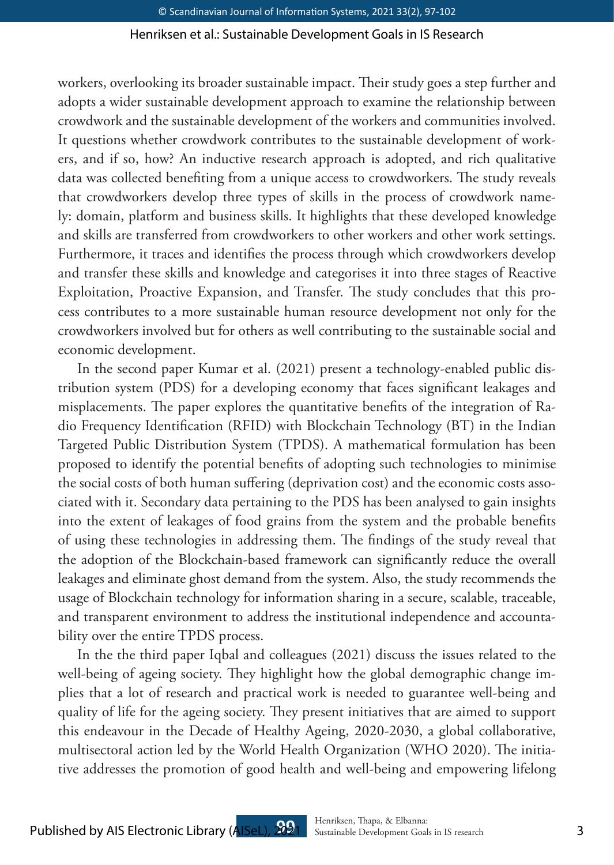### Henriksen et al.: Sustainable Development Goals in IS Research

workers, overlooking its broader sustainable impact. Their study goes a step further and adopts a wider sustainable development approach to examine the relationship between crowdwork and the sustainable development of the workers and communities involved. It questions whether crowdwork contributes to the sustainable development of workers, and if so, how? An inductive research approach is adopted, and rich qualitative data was collected benefiting from a unique access to crowdworkers. The study reveals that crowdworkers develop three types of skills in the process of crowdwork namely: domain, platform and business skills. It highlights that these developed knowledge and skills are transferred from crowdworkers to other workers and other work settings. Furthermore, it traces and identifies the process through which crowdworkers develop and transfer these skills and knowledge and categorises it into three stages of Reactive Exploitation, Proactive Expansion, and Transfer. The study concludes that this process contributes to a more sustainable human resource development not only for the crowdworkers involved but for others as well contributing to the sustainable social and economic development.

In the second paper Kumar et al. (2021) present a technology-enabled public distribution system (PDS) for a developing economy that faces significant leakages and misplacements. The paper explores the quantitative benefits of the integration of Radio Frequency Identification (RFID) with Blockchain Technology (BT) in the Indian Targeted Public Distribution System (TPDS). A mathematical formulation has been proposed to identify the potential benefits of adopting such technologies to minimise the social costs of both human suffering (deprivation cost) and the economic costs associated with it. Secondary data pertaining to the PDS has been analysed to gain insights into the extent of leakages of food grains from the system and the probable benefits of using these technologies in addressing them. The findings of the study reveal that the adoption of the Blockchain-based framework can significantly reduce the overall leakages and eliminate ghost demand from the system. Also, the study recommends the usage of Blockchain technology for information sharing in a secure, scalable, traceable, and transparent environment to address the institutional independence and accountability over the entire TPDS process.

In the the third paper Iqbal and colleagues (2021) discuss the issues related to the well-being of ageing society. They highlight how the global demographic change implies that a lot of research and practical work is needed to guarantee well-being and quality of life for the ageing society. They present initiatives that are aimed to support this endeavour in the Decade of Healthy Ageing, 2020-2030, a global collaborative, multisectoral action led by the World Health Organization (WHO 2020). The initiative addresses the promotion of good health and well-being and empowering lifelong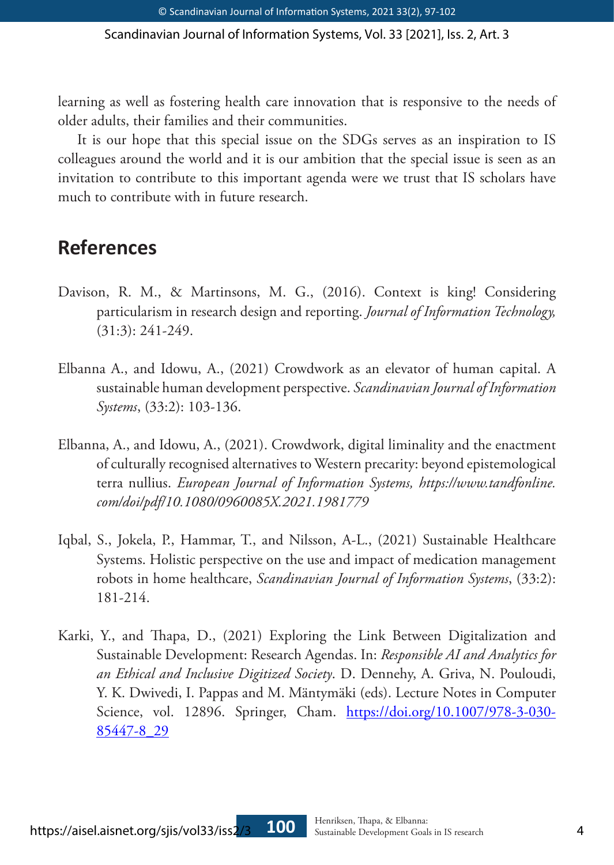Scandinavian Journal of Information Systems, Vol. 33 [2021], Iss. 2, Art. 3

learning as well as fostering health care innovation that is responsive to the needs of older adults, their families and their communities.

It is our hope that this special issue on the SDGs serves as an inspiration to IS colleagues around the world and it is our ambition that the special issue is seen as an invitation to contribute to this important agenda were we trust that IS scholars have much to contribute with in future research.

## **References**

- Davison, R. M., & Martinsons, M. G., (2016). Context is king! Considering particularism in research design and reporting. *Journal of Information Technology,*  (31:3): 241-249.
- Elbanna A., and Idowu, A., (2021) Crowdwork as an elevator of human capital. A sustainable human development perspective. *Scandinavian Journal of Information Systems*, (33:2): 103-136.
- Elbanna, A., and Idowu, A., (2021). Crowdwork, digital liminality and the enactment of culturally recognised alternatives to Western precarity: beyond epistemological terra nullius. *European Journal of Information Systems, https://www.tandfonline. com/doi/pdf/10.1080/0960085X.2021.1981779*
- Iqbal, S., Jokela, P., Hammar, T., and Nilsson, A-L., (2021) Sustainable Healthcare Systems. Holistic perspective on the use and impact of medication management robots in home healthcare, *Scandinavian Journal of Information Systems*, (33:2): 181-214.
- Karki, Y., and Thapa, D., (2021) Exploring the Link Between Digitalization and Sustainable Development: Research Agendas. In: *Responsible AI and Analytics for an Ethical and Inclusive Digitized Society*. D. Dennehy, A. Griva, N. Pouloudi, Y. K. Dwivedi, I. Pappas and M. Mäntymäki (eds). Lecture Notes in Computer Science, vol. 12896. Springer, Cham. https://doi.org/10.1007/978-3-030-85447-8\_29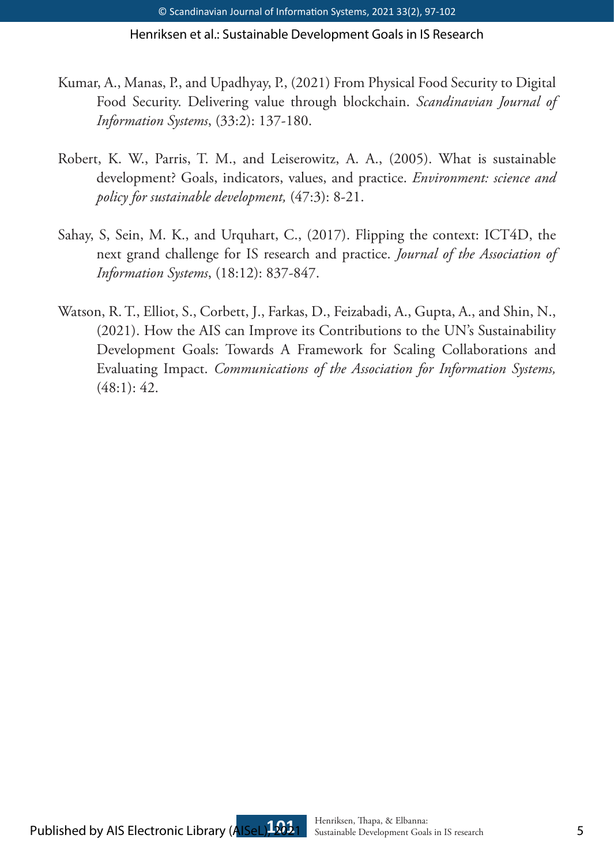Henriksen et al.: Sustainable Development Goals in IS Research

- Kumar, A., Manas, P., and Upadhyay, P., (2021) From Physical Food Security to Digital Food Security. Delivering value through blockchain. *Scandinavian Journal of Information Systems*, (33:2): 137-180.
- Robert, K. W., Parris, T. M., and Leiserowitz, A. A., (2005). What is sustainable development? Goals, indicators, values, and practice. *Environment: science and policy for sustainable development,* (47:3): 8-21.
- Sahay, S, Sein, M. K., and Urquhart, C., (2017). Flipping the context: ICT4D, the next grand challenge for IS research and practice. *Journal of the Association of Information Systems*, (18:12): 837-847.
- Watson, R. T., Elliot, S., Corbett, J., Farkas, D., Feizabadi, A., Gupta, A., and Shin, N., (2021). How the AIS can Improve its Contributions to the UN's Sustainability Development Goals: Towards A Framework for Scaling Collaborations and Evaluating Impact. *Communications of the Association for Information Systems,*  (48:1): 42.